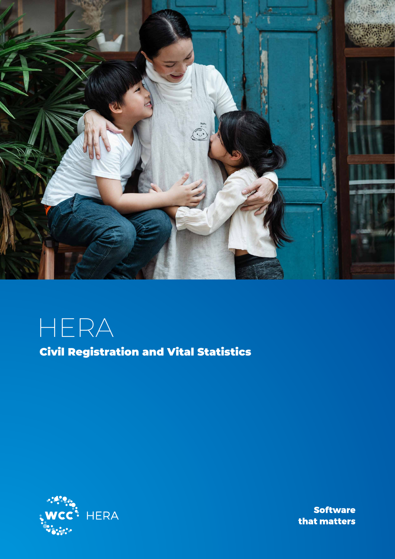

HERA

Civil Registration and Vital Statistics



**Software** that matters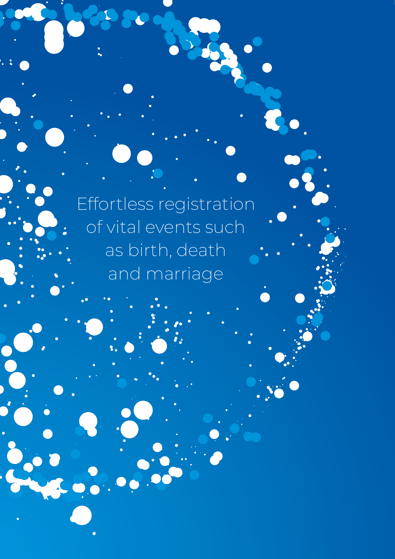Effortless registration of vital events such as birth, death and marriage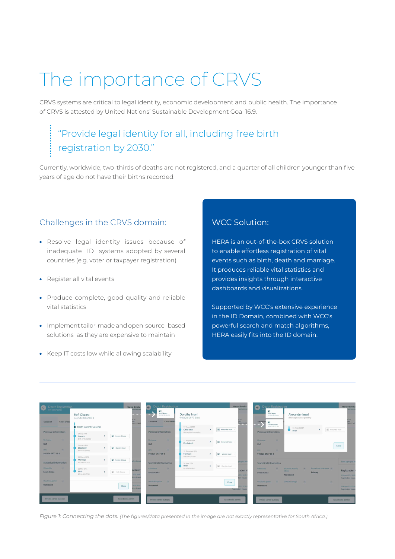# The importance of CRVS

CRVS systems are critical to legal identity, economic development and public health. The importance of CRVS is attested by United Nations' Sustainable Development Goal 16.9.

# "Provide legal identity for all, including free birth registration by 2030."

Currently, worldwide, two-thirds of deaths are not registered, and a quarter of all children younger than five years of age do not have their births recorded.

# Challenges in the CRVS domain:

- Resolve legal identity issues because of inadequate ID systems adopted by several countries (e.g. voter or taxpayer registration)
- Register all vital events
- Produce complete, good quality and reliable vital statistics
- Implement tailor-made and open source based solutions as they are expensive to maintain
- Keep IT costs low while allowing scalability

# WCC Solution:

HERA is an out-of-the-box CRVS solution to enable effortless registration of vital events such as birth, death and marriage. It produces reliable vital statistics and provides insights through interactive dashboards and visualizations.

Supported by WCC's extensive experience in the ID Domain, combined with WCC's powerful search and match algorithms, HERA easily fits into the ID domain.

| Death Registration                            |                                                                        | <b>Harold Emeka</b><br><b>wichronis</b>  | <b>Death Registration</b><br>$\left( -\right)$<br>$4 -$        |                                                              | <b>Harold Emeka</b><br>vnchronis                     | Death Registration<br>a<br>$\left  \frac{1}{2} \right $                                                                                                                                                                                                                                                                                                                                                                     |                                                                                           | <b>Harold Emeka</b><br>wichronise             |
|-----------------------------------------------|------------------------------------------------------------------------|------------------------------------------|----------------------------------------------------------------|--------------------------------------------------------------|------------------------------------------------------|-----------------------------------------------------------------------------------------------------------------------------------------------------------------------------------------------------------------------------------------------------------------------------------------------------------------------------------------------------------------------------------------------------------------------------|-------------------------------------------------------------------------------------------|-----------------------------------------------|
| Cause of dea<br>Deceased                      | Kofi Okpara<br>613543 8432 831                                         | .<br>327<br><b>Time</b><br>148551349     | Koń Okpara<br>.<br>613543 8432 831<br>Cause of dea<br>Deceased | Dorothy Imari<br>940626 0977 18 6                            | dby<br>imit.<br>485513497                            | Kofi Okoara<br>612542 8432 831<br>Decrased<br>$\frac{1}{2}$<br>. 5                                                                                                                                                                                                                                                                                                                                                          | Alexander Imari<br>Birth registration pending                                             | dby<br>mit<br>148551349                       |
| Personal information                          | Death (currently viewing)<br>14 July 1996                              |                                          | Personal information                                           | 17 August 2019<br>Child birth<br>Birth registration penaling | 4 Alexander Imari ><br>$\mathbf{v}$                  | Dorothy Imari<br>940626 0977 18 6<br>__<br>Personal information                                                                                                                                                                                                                                                                                                                                                             | 17 August 2019<br>$\mathbf{v}$<br>Birth                                                   | [41] Alexander Imari                          |
| <b>Gall</b><br>First name<br>Kofi             | [44] Kwame Okpara<br><b>Divorce</b><br>DVR 5748632581                  |                                          | First name<br><b>Sec.</b><br>Kofi                              | 17 August 2019<br>Fetal death                                | $\rightarrow$<br>[44] Unnamed fetus                  | $\sim$<br>First name<br>Kofi                                                                                                                                                                                                                                                                                                                                                                                                |                                                                                           |                                               |
| UIN.<br><b>Contractor</b><br>940626 0977 18 6 | 26 June 1994<br><b>A</b> Dorothy Imari<br>Child birth<br>BR 8461357832 |                                          | UIN<br><b>College</b><br>940626 0977 186                       | 12 December 2016<br>Marriage                                 | $\mathbf{v}$<br><b>A</b> <sup>E</sup> Vincent Imari  | <b>GIN</b><br><b>College</b><br>940626 0977 18 6                                                                                                                                                                                                                                                                                                                                                                            |                                                                                           | Close                                         |
| Statistical information                       | 09 March 1972<br>Marriage<br>All Kwame Okeana<br>MR 8461357832         | ping to ac                               | Statistical information                                        | MR 8461357832<br>26 June 1994<br>Birth                       | ping to ade<br>$\lambda$                             | Statistical information                                                                                                                                                                                                                                                                                                                                                                                                     |                                                                                           | Start typing to ad                            |
| Citizenship<br><b>Text</b><br>South Africa    | 22 May 1951<br>Birth<br>44<br>Kofi Oknara<br>BR 3648547782             | tration <b>I</b><br>2019 10:04           | Citizenship<br>$\sim$<br>South Africa                          | BR 6542854822                                                | [41] Dorothy Imari<br>tration <b>H</b><br>2019 10:06 | Citizenship<br>$\frac{1}{2} \frac{1}{2} \frac{1}{2} \frac{1}{2} \frac{1}{2} \frac{1}{2} \frac{1}{2} \frac{1}{2} \frac{1}{2} \frac{1}{2} \frac{1}{2} \frac{1}{2} \frac{1}{2} \frac{1}{2} \frac{1}{2} \frac{1}{2} \frac{1}{2} \frac{1}{2} \frac{1}{2} \frac{1}{2} \frac{1}{2} \frac{1}{2} \frac{1}{2} \frac{1}{2} \frac{1}{2} \frac{1}{2} \frac{1}{2} \frac{1}{2} \frac{1}{2} \frac{1}{2} \frac{1}{2} \frac{$<br>South Africa | Educational attainment<br>Economic Activity (m)<br><b>Status</b><br>Primary<br>Not stated | <b>Registration F</b><br>18 August 2019 10:06 |
| Usual Occupation<br>$-$ 140<br>Not stated     |                                                                        | <b>Son viewer</b><br>2019 09:54<br>Close | Usual Occupation -<br>Not stated                               |                                                              | tion viewec<br>Close<br>019 09:56                    | Usual Occupation<br><b>College College</b><br>Not stated                                                                                                                                                                                                                                                                                                                                                                    | Date of marriage<br><b>Contract</b>                                                       | Registration viewer<br>18 August 2019 09:56   |
|                                               |                                                                        | ion viewer                               |                                                                |                                                              | Registration viewer                                  |                                                                                                                                                                                                                                                                                                                                                                                                                             |                                                                                           | Registration viewer                           |
| Initiate verbal autopsy                       |                                                                        | Issue burial permit                      | Initiate verbal autopsy                                        |                                                              | Issue burial permit                                  | Initiate verbal autopsy                                                                                                                                                                                                                                                                                                                                                                                                     |                                                                                           | Issue burial permit                           |

*Figure 1: Connecting the dots. (The figures/data presented in the image are not exactly representative for South Africa.)*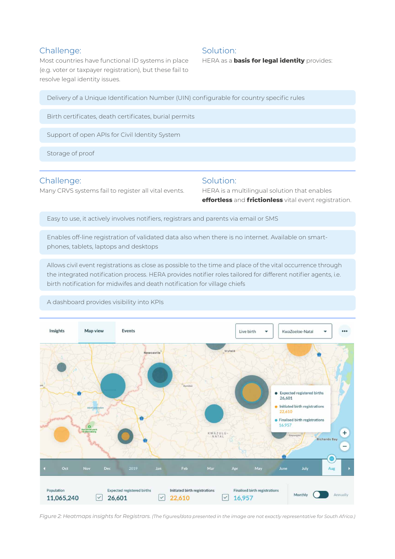#### Challenge:

Most countries have functional ID systems in place (e.g. voter or taxpayer registration), but these fail to resolve legal identity issues.

#### Solution:

HERA as a **basis for legal identity** provides:

Delivery of a Unique Identification Number (UIN) configurable for country specific rules

Birth certificates, death certificates, burial permits

Support of open APIs for Civil Identity System

Storage of proof

#### Challenge:

Many CRVS systems fail to register all vital events.

#### Solution:

HERA is a multilingual solution that enables **effortless** and **frictionless** vital event registration.

Easy to use, it actively involves notifiers, registrars and parents via email or SMS

Enables off-line registration of validated data also when there is no internet. Available on smartphones, tablets, laptops and desktops

Allows civil event registrations as close as possible to the time and place of the vital occurrence through the integrated notification process. HERA provides notifier roles tailored for different notifier agents, i.e. birth notification for midwifes and death notification for village chiefs



A dashboard provides visibility into KPIs

*Figure 2: Heatmaps insights for Registrars. (The figures/data presented in the image are not exactly representative for South Africa.)*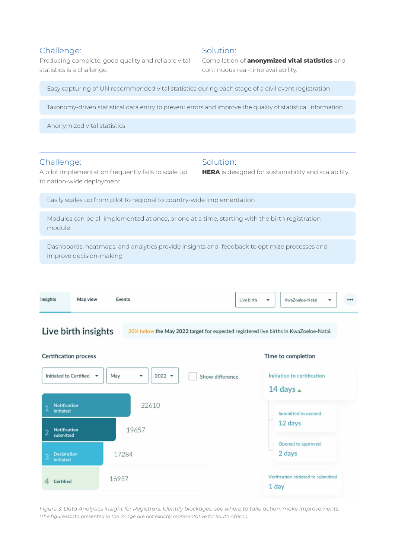### Challenge:

Producing complete, good quality and reliable vital statistics is a challenge.

### Solution:

Solution:

Compilation of **anonymized vital statistics** and continuous real-time availability.

**HERA** is designed for sustainability and scalability.

Easy capturing of UN recommended vital statistics during each stage of a civil event registration

Taxonomy-driven statistical data entry to prevent errors and improve the quality of statistical information

Anonymized vital statistics

#### Challenge:

A pilot implementation frequently fails to scale up to nation-wide deployment.

Easily scales up from pilot to regional to country-wide implementation

Modules can be all implemented at once, or one at a time, starting with the birth registration module

Dashboards, heatmaps, and analytics provide insights and feedback to optimize processes and improve decision-making

| Insights | Map view | Events | Live birth | $\overline{\phantom{a}}$ | KwaZoeloe-Natal | ٠ | $\bullet$ |
|----------|----------|--------|------------|--------------------------|-----------------|---|-----------|
|          |          |        |            |                          |                 |   |           |

Live birth insights

20% below the May 2022 target for expected registered live births in KwaZoeloe-Natal.



*Figure 3: Data Analytics insight for Registrars: Identify blockages, see where to take action, make improvements. (The figures/data presented in the image are not exactly representative for South Africa.)*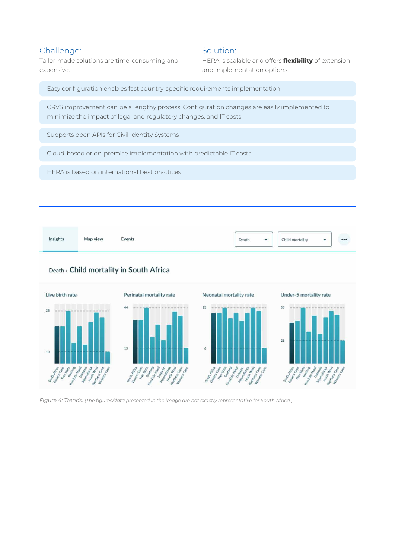# Challenge:

Tailor-made solutions are time-consuming and expensive.

## Solution:

HERA is scalable and offers **flexibility** of extension and implementation options.

Easy configuration enables fast country-specific requirements implementation

CRVS improvement can be a lengthy process. Configuration changes are easily implemented to minimize the impact of legal and regulatory changes, and IT costs

Supports open APIs for Civil Identity Systems

Cloud-based or on-premise implementation with predictable IT costs

HERA is based on international best practices



# Death > Child mortality in South Africa



*Figure 4: Trends. (The figures/data presented in the image are not exactly representative for South Africa.)*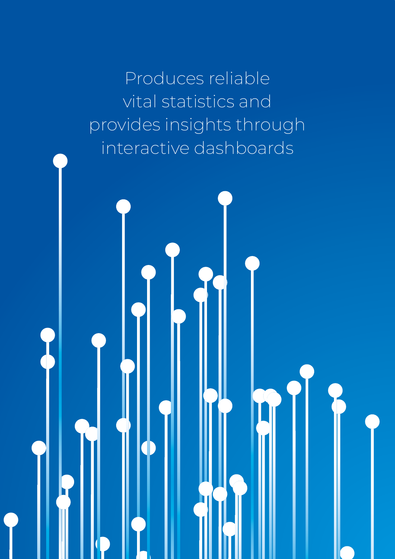Produces reliable vital statistics and provides insights through interactive dashboards